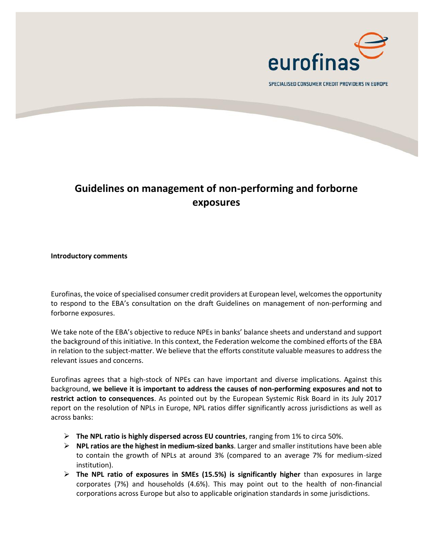

SPECIALISED CONSUMER CREDIT PROVIDERS IN EUROPE

## **Guidelines on management of non-performing and forborne exposures**

**Introductory comments**

Eurofinas, the voice of specialised consumer credit providers at European level, welcomes the opportunity to respond to the EBA's consultation on the draft Guidelines on management of non-performing and forborne exposures.

We take note of the EBA's objective to reduce NPEs in banks' balance sheets and understand and support the background of this initiative. In this context, the Federation welcome the combined efforts of the EBA in relation to the subject-matter. We believe that the efforts constitute valuable measures to address the relevant issues and concerns.

Eurofinas agrees that a high-stock of NPEs can have important and diverse implications. Against this background, **we believe it is important to address the causes of non-performing exposures and not to restrict action to consequences**. As pointed out by the European Systemic Risk Board in its July 2017 report on the resolution of NPLs in Europe, NPL ratios differ significantly across jurisdictions as well as across banks:

- ➢ **The NPL ratio is highly dispersed across EU countries**, ranging from 1% to circa 50%.
- ➢ **NPL ratios are the highest in medium-sized banks**. Larger and smaller institutions have been able to contain the growth of NPLs at around 3% (compared to an average 7% for medium-sized institution).
- ➢ **The NPL ratio of exposures in SMEs (15.5%) is significantly higher** than exposures in large corporates (7%) and households (4.6%). This may point out to the health of non-financial corporations across Europe but also to applicable origination standards in some jurisdictions.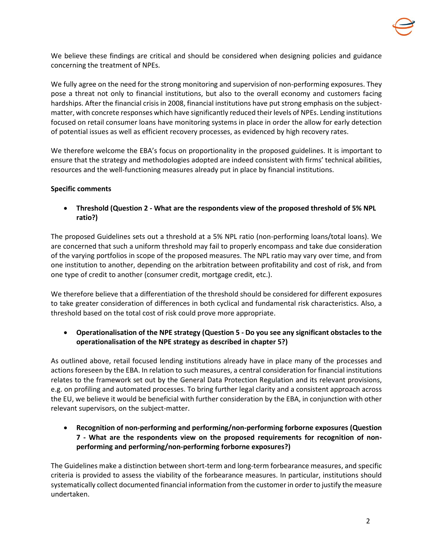

We believe these findings are critical and should be considered when designing policies and guidance concerning the treatment of NPEs.

We fully agree on the need for the strong monitoring and supervision of non-performing exposures. They pose a threat not only to financial institutions, but also to the overall economy and customers facing hardships. After the financial crisis in 2008, financial institutions have put strong emphasis on the subjectmatter, with concrete responses which have significantly reduced their levels of NPEs. Lending institutions focused on retail consumer loans have monitoring systems in place in order the allow for early detection of potential issues as well as efficient recovery processes, as evidenced by high recovery rates.

We therefore welcome the EBA's focus on proportionality in the proposed guidelines. It is important to ensure that the strategy and methodologies adopted are indeed consistent with firms' technical abilities, resources and the well-functioning measures already put in place by financial institutions.

## **Specific comments**

• **Threshold (Question 2 - What are the respondents view of the proposed threshold of 5% NPL ratio?)**

The proposed Guidelines sets out a threshold at a 5% NPL ratio (non-performing loans/total loans). We are concerned that such a uniform threshold may fail to properly encompass and take due consideration of the varying portfolios in scope of the proposed measures. The NPL ratio may vary over time, and from one institution to another, depending on the arbitration between profitability and cost of risk, and from one type of credit to another (consumer credit, mortgage credit, etc.).

We therefore believe that a differentiation of the threshold should be considered for different exposures to take greater consideration of differences in both cyclical and fundamental risk characteristics. Also, a threshold based on the total cost of risk could prove more appropriate.

• **Operationalisation of the NPE strategy (Question 5 - Do you see any significant obstacles to the operationalisation of the NPE strategy as described in chapter 5?)**

As outlined above, retail focused lending institutions already have in place many of the processes and actions foreseen by the EBA. In relation to such measures, a central consideration for financial institutions relates to the framework set out by the General Data Protection Regulation and its relevant provisions, e.g. on profiling and automated processes. To bring further legal clarity and a consistent approach across the EU, we believe it would be beneficial with further consideration by the EBA, in conjunction with other relevant supervisors, on the subject-matter.

• **Recognition of non-performing and performing/non-performing forborne exposures (Question 7 - What are the respondents view on the proposed requirements for recognition of nonperforming and performing/non-performing forborne exposures?)**

The Guidelines make a distinction between short-term and long-term forbearance measures, and specific criteria is provided to assess the viability of the forbearance measures. In particular, institutions should systematically collect documented financial information from the customer in order to justify the measure undertaken.